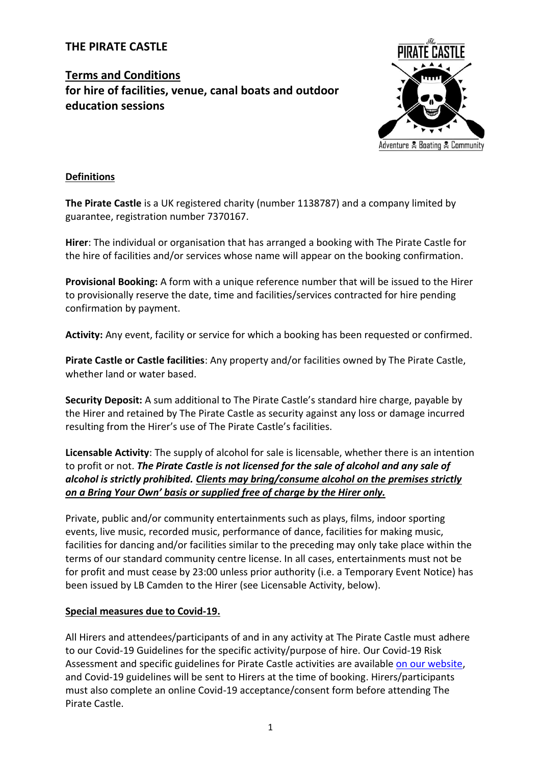## **THE PIRATE CASTLE**

# **Terms and Conditions for hire of facilities, venue, canal boats and outdoor education sessions**



#### **Definitions**

**The Pirate Castle** is a UK registered charity (number 1138787) and a company limited by guarantee, registration number 7370167.

**Hirer**: The individual or organisation that has arranged a booking with The Pirate Castle for the hire of facilities and/or services whose name will appear on the booking confirmation.

**Provisional Booking:** A form with a unique reference number that will be issued to the Hirer to provisionally reserve the date, time and facilities/services contracted for hire pending confirmation by payment.

**Activity:** Any event, facility or service for which a booking has been requested or confirmed.

**Pirate Castle or Castle facilities**: Any property and/or facilities owned by The Pirate Castle, whether land or water based.

**Security Deposit:** A sum additional to The Pirate Castle's standard hire charge, payable by the Hirer and retained by The Pirate Castle as security against any loss or damage incurred resulting from the Hirer's use of The Pirate Castle's facilities.

**Licensable Activity**: The supply of alcohol for sale is licensable, whether there is an intention to profit or not. *The Pirate Castle is not licensed for the sale of alcohol and any sale of alcohol is strictly prohibited. Clients may bring/consume alcohol on the premises strictly on a Bring Your Own' basis or supplied free of charge by the Hirer only.*

Private, public and/or community entertainments such as plays, films, indoor sporting events, live music, recorded music, performance of dance, facilities for making music, facilities for dancing and/or facilities similar to the preceding may only take place within the terms of our standard community centre license. In all cases, entertainments must not be for profit and must cease by 23:00 unless prior authority (i.e. a Temporary Event Notice) has been issued by LB Camden to the Hirer (see Licensable Activity, below).

#### **Special measures due to Covid-19.**

All Hirers and attendees/participants of and in any activity at The Pirate Castle must adhere to our Covid-19 Guidelines for the specific activity/purpose of hire. Our Covid-19 Risk Assessment and specific guidelines for Pirate Castle activities are availabl[e on our website,](https://www.thepiratecastle.org/tcs-policies) and Covid-19 guidelines will be sent to Hirers at the time of booking. Hirers/participants must also complete an online Covid-19 acceptance/consent form before attending The Pirate Castle.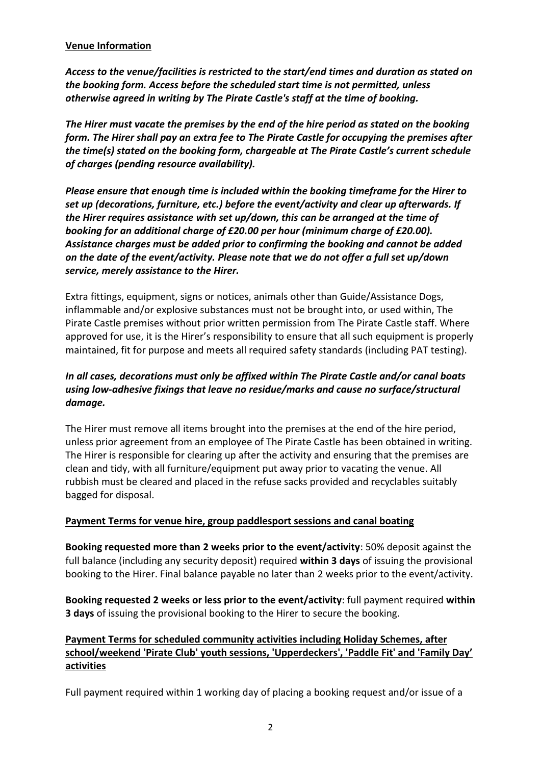#### **Venue Information**

*Access to the venue/facilities is restricted to the start/end times and duration as stated on the booking form. Access before the scheduled start time is not permitted, unless otherwise agreed in writing by The Pirate Castle's staff at the time of booking.*

*The Hirer must vacate the premises by the end of the hire period as stated on the booking form. The Hirer shall pay an extra fee to The Pirate Castle for occupying the premises after the time(s) stated on the booking form, chargeable at The Pirate Castle's current schedule of charges (pending resource availability).*

*Please ensure that enough time is included within the booking timeframe for the Hirer to set up (decorations, furniture, etc.) before the event/activity and clear up afterwards. If the Hirer requires assistance with set up/down, this can be arranged at the time of booking for an additional charge of £20.00 per hour (minimum charge of £20.00). Assistance charges must be added prior to confirming the booking and cannot be added on the date of the event/activity. Please note that we do not offer a full set up/down service, merely assistance to the Hirer.*

Extra fittings, equipment, signs or notices, animals other than Guide/Assistance Dogs, inflammable and/or explosive substances must not be brought into, or used within, The Pirate Castle premises without prior written permission from The Pirate Castle staff. Where approved for use, it is the Hirer's responsibility to ensure that all such equipment is properly maintained, fit for purpose and meets all required safety standards (including PAT testing).

# *In all cases, decorations must only be affixed within The Pirate Castle and/or canal boats using low-adhesive fixings that leave no residue/marks and cause no surface/structural damage.*

The Hirer must remove all items brought into the premises at the end of the hire period, unless prior agreement from an employee of The Pirate Castle has been obtained in writing. The Hirer is responsible for clearing up after the activity and ensuring that the premises are clean and tidy, with all furniture/equipment put away prior to vacating the venue. All rubbish must be cleared and placed in the refuse sacks provided and recyclables suitably bagged for disposal.

### **Payment Terms for venue hire, group paddlesport sessions and canal boating**

**Booking requested more than 2 weeks prior to the event/activity**: 50% deposit against the full balance (including any security deposit) required **within 3 days** of issuing the provisional booking to the Hirer. Final balance payable no later than 2 weeks prior to the event/activity.

**Booking requested 2 weeks or less prior to the event/activity**: full payment required **within 3 days** of issuing the provisional booking to the Hirer to secure the booking.

# **Payment Terms for scheduled community activities including Holiday Schemes, after school/weekend 'Pirate Club' youth sessions, 'Upperdeckers', 'Paddle Fit' and 'Family Day' activities**

Full payment required within 1 working day of placing a booking request and/or issue of a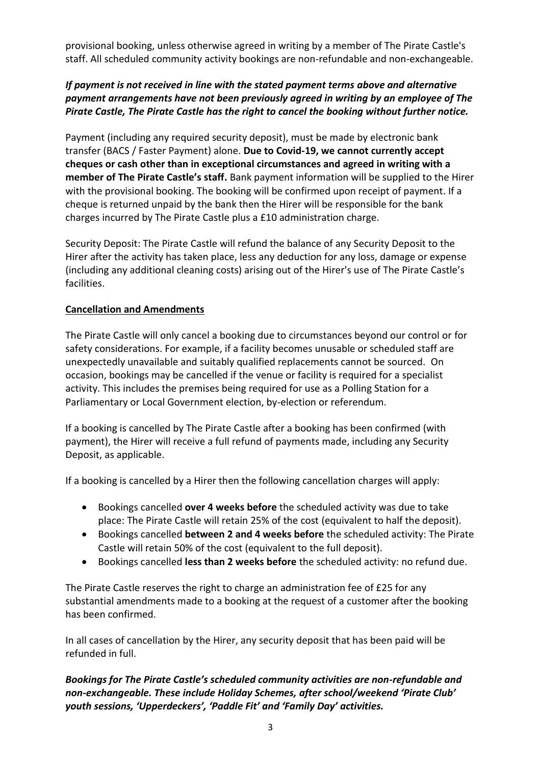provisional booking, unless otherwise agreed in writing by a member of The Pirate Castle's staff. All scheduled community activity bookings are non-refundable and non-exchangeable.

## *If payment is not received in line with the stated payment terms above and alternative payment arrangements have not been previously agreed in writing by an employee of The Pirate Castle, The Pirate Castle has the right to cancel the booking without further notice.*

Payment (including any required security deposit), must be made by electronic bank transfer (BACS / Faster Payment) alone. **Due to Covid-19, we cannot currently accept cheques or cash other than in exceptional circumstances and agreed in writing with a member of The Pirate Castle's staff.** Bank payment information will be supplied to the Hirer with the provisional booking. The booking will be confirmed upon receipt of payment. If a cheque is returned unpaid by the bank then the Hirer will be responsible for the bank charges incurred by The Pirate Castle plus a £10 administration charge.

Security Deposit: The Pirate Castle will refund the balance of any Security Deposit to the Hirer after the activity has taken place, less any deduction for any loss, damage or expense (including any additional cleaning costs) arising out of the Hirer's use of The Pirate Castle's facilities.

### **Cancellation and Amendments**

The Pirate Castle will only cancel a booking due to circumstances beyond our control or for safety considerations. For example, if a facility becomes unusable or scheduled staff are unexpectedly unavailable and suitably qualified replacements cannot be sourced. On occasion, bookings may be cancelled if the venue or facility is required for a specialist activity. This includes the premises being required for use as a Polling Station for a Parliamentary or Local Government election, by-election or referendum.

If a booking is cancelled by The Pirate Castle after a booking has been confirmed (with payment), the Hirer will receive a full refund of payments made, including any Security Deposit, as applicable.

If a booking is cancelled by a Hirer then the following cancellation charges will apply:

- Bookings cancelled **over 4 weeks before** the scheduled activity was due to take place: The Pirate Castle will retain 25% of the cost (equivalent to half the deposit).
- Bookings cancelled **between 2 and 4 weeks before** the scheduled activity: The Pirate Castle will retain 50% of the cost (equivalent to the full deposit).
- Bookings cancelled **less than 2 weeks before** the scheduled activity: no refund due.

The Pirate Castle reserves the right to charge an administration fee of £25 for any substantial amendments made to a booking at the request of a customer after the booking has been confirmed.

In all cases of cancellation by the Hirer, any security deposit that has been paid will be refunded in full.

*Bookings for The Pirate Castle's scheduled community activities are non-refundable and non-exchangeable. These include Holiday Schemes, after school/weekend 'Pirate Club' youth sessions, 'Upperdeckers', 'Paddle Fit' and 'Family Day' activities.*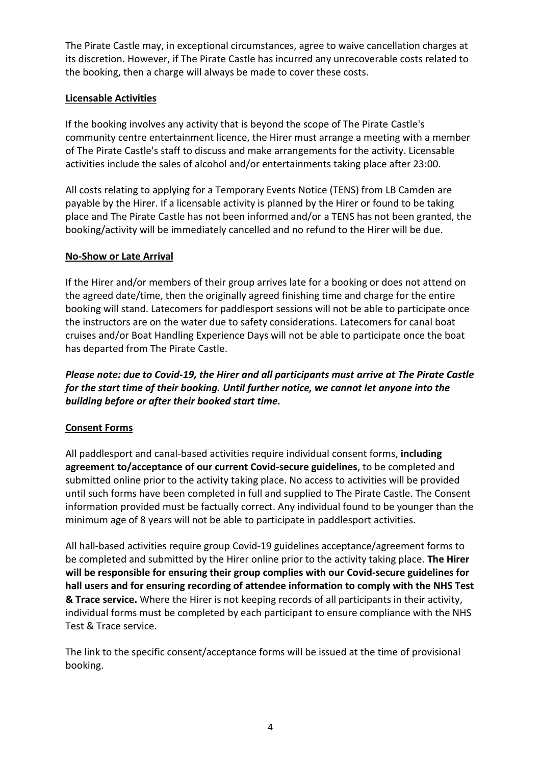The Pirate Castle may, in exceptional circumstances, agree to waive cancellation charges at its discretion. However, if The Pirate Castle has incurred any unrecoverable costs related to the booking, then a charge will always be made to cover these costs.

# **Licensable Activities**

If the booking involves any activity that is beyond the scope of The Pirate Castle's community centre entertainment licence, the Hirer must arrange a meeting with a member of The Pirate Castle's staff to discuss and make arrangements for the activity. Licensable activities include the sales of alcohol and/or entertainments taking place after 23:00.

All costs relating to applying for a Temporary Events Notice (TENS) from LB Camden are payable by the Hirer. If a licensable activity is planned by the Hirer or found to be taking place and The Pirate Castle has not been informed and/or a TENS has not been granted, the booking/activity will be immediately cancelled and no refund to the Hirer will be due.

#### **No-Show or Late Arrival**

If the Hirer and/or members of their group arrives late for a booking or does not attend on the agreed date/time, then the originally agreed finishing time and charge for the entire booking will stand. Latecomers for paddlesport sessions will not be able to participate once the instructors are on the water due to safety considerations. Latecomers for canal boat cruises and/or Boat Handling Experience Days will not be able to participate once the boat has departed from The Pirate Castle.

*Please note: due to Covid-19, the Hirer and all participants must arrive at The Pirate Castle for the start time of their booking. Until further notice, we cannot let anyone into the building before or after their booked start time.*

### **Consent Forms**

All paddlesport and canal-based activities require individual consent forms, **including agreement to/acceptance of our current Covid-secure guidelines**, to be completed and submitted online prior to the activity taking place. No access to activities will be provided until such forms have been completed in full and supplied to The Pirate Castle. The Consent information provided must be factually correct. Any individual found to be younger than the minimum age of 8 years will not be able to participate in paddlesport activities.

All hall-based activities require group Covid-19 guidelines acceptance/agreement forms to be completed and submitted by the Hirer online prior to the activity taking place. **The Hirer will be responsible for ensuring their group complies with our Covid-secure guidelines for hall users and for ensuring recording of attendee information to comply with the NHS Test & Trace service.** Where the Hirer is not keeping records of all participants in their activity, individual forms must be completed by each participant to ensure compliance with the NHS Test & Trace service.

The link to the specific consent/acceptance forms will be issued at the time of provisional booking.